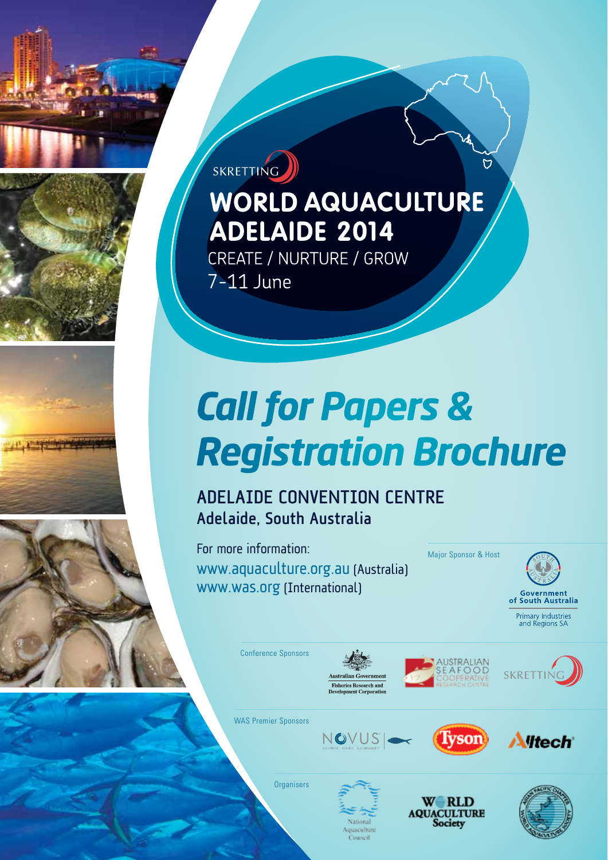



**WORLD AQUACULTURE** 

**ADELAIDE 2014** 

CREATE / NURTURE / GROW

### Adelaide Convention Centre Adelaide, South Australia

For more information: www.aquaculture.org.au (Australia) www.was.org (International)

Major Sponsor & Host



Conference Sponsors

SKRETTING

7-11 June







WAS Premier Sponsors







**Organisers** 





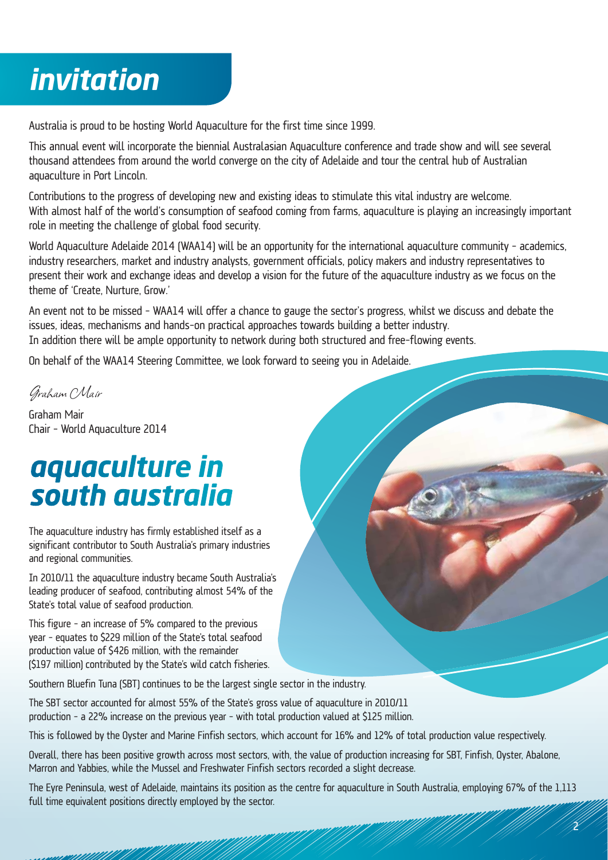## *invitation*

Australia is proud to be hosting World Aquaculture for the first time since 1999.

This annual event will incorporate the biennial Australasian Aquaculture conference and trade show and will see several thousand attendees from around the world converge on the city of Adelaide and tour the central hub of Australian aquaculture in Port Lincoln.

Contributions to the progress of developing new and existing ideas to stimulate this vital industry are welcome. With almost half of the world's consumption of seafood coming from farms, aquaculture is playing an increasingly important role in meeting the challenge of global food security.

World Aquaculture Adelaide 2014 (WAA14) will be an opportunity for the international aquaculture community - academics, industry researchers, market and industry analysts, government officials, policy makers and industry representatives to present their work and exchange ideas and develop a vision for the future of the aquaculture industry as we focus on the theme of 'Create, Nurture, Grow.'

An event not to be missed – WAA14 will offer a chance to gauge the sector's progress, whilst we discuss and debate the issues, ideas, mechanisms and hands-on practical approaches towards building a better industry. In addition there will be ample opportunity to network during both structured and free-flowing events.

On behalf of the WAA14 Steering Committee, we look forward to seeing you in Adelaide.

Graham Mair

Graham Mair Chair – World Aquaculture 2014

### *aquaculture in south australia*

The aquaculture industry has firmly established itself as a significant contributor to South Australia's primary industries and regional communities.

In 2010/11 the aquaculture industry became South Australia's leading producer of seafood, contributing almost 54% of the State's total value of seafood production.

This figure – an increase of 5% compared to the previous year – equates to \$229 million of the State's total seafood production value of \$426 million, with the remainder (\$197 million) contributed by the State's wild catch fisheries.

Southern Bluefin Tuna (SBT) continues to be the largest single sector in the industry.

The SBT sector accounted for almost 55% of the State's gross value of aquaculture in 2010/11 production – a 22% increase on the previous year – with total production valued at \$125 million.

This is followed by the Oyster and Marine Finfish sectors, which account for 16% and 12% of total production value respectively.

Overall, there has been positive growth across most sectors, with, the value of production increasing for SBT, Finfish, Oyster, Abalone, Marron and Yabbies, while the Mussel and Freshwater Finfish sectors recorded a slight decrease.

The Eyre Peninsula, west of Adelaide, maintains its position as the centre for aquaculture in South Australia, employing 67% of the 1,113 full time equivalent positions directly employed by the sector.

 $\tilde{c}$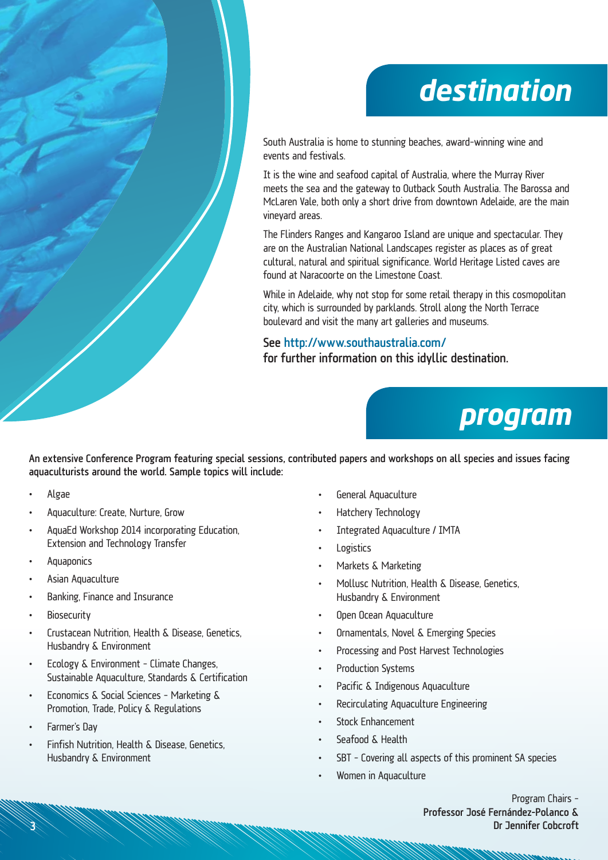## *destination*

South Australia is home to stunning beaches, award-winning wine and events and festivals.

It is the wine and seafood capital of Australia, where the Murray River meets the sea and the gateway to Outback South Australia. The Barossa and McLaren Vale, both only a short drive from downtown Adelaide, are the main vineyard areas.

The Flinders Ranges and Kangaroo Island are unique and spectacular. They are on the Australian National Landscapes register as places as of great cultural, natural and spiritual significance. World Heritage Listed caves are found at Naracoorte on the Limestone Coast.

While in Adelaide, why not stop for some retail therapy in this cosmopolitan city, which is surrounded by parklands. Stroll along the North Terrace boulevard and visit the many art galleries and museums.

See http://www.southaustralia.com/ for further information on this idyllic destination.



An extensive Conference Program featuring special sessions, contributed papers and workshops on all species and issues facing aquaculturists around the world. Sample topics will include:

- Algae
- Aquaculture: Create, Nurture, Grow
- AquaEd Workshop 2014 incorporating Education, Extension and Technology Transfer
- **Aquaponics**
- Asian Aquaculture
- Banking, Finance and Insurance
- **Biosecurity**
- Crustacean Nutrition, Health & Disease, Genetics, Husbandry & Environment
- **Ecology & Environment Climate Changes,** Sustainable Aquaculture, Standards & Certification
- Economics & Social Sciences Marketing & Promotion, Trade, Policy & Regulations
- Farmer's Dav
- Finfish Nutrition, Health & Disease, Genetics, Husbandry & Environment
- General Aquaculture
- Hatchery Technology
- Integrated Aquaculture / IMTA
- **Logistics**
- Markets & Marketing
- Mollusc Nutrition, Health & Disease, Genetics, Husbandry & Environment
- Open Ocean Aquaculture
- **Ornamentals, Novel & Emerging Species**
- Processing and Post Harvest Technologies
- **Production Systems**
- Pacific & Indigenous Aquaculture
- Recirculating Aquaculture Engineering
- **Stock Enhancement**
- Seafood & Health
- SBT Covering all aspects of this prominent SA species
- Women in Aquaculture

Program Chairs – Professor José Fernández-Polanco & Dr Jennifer Cobcroft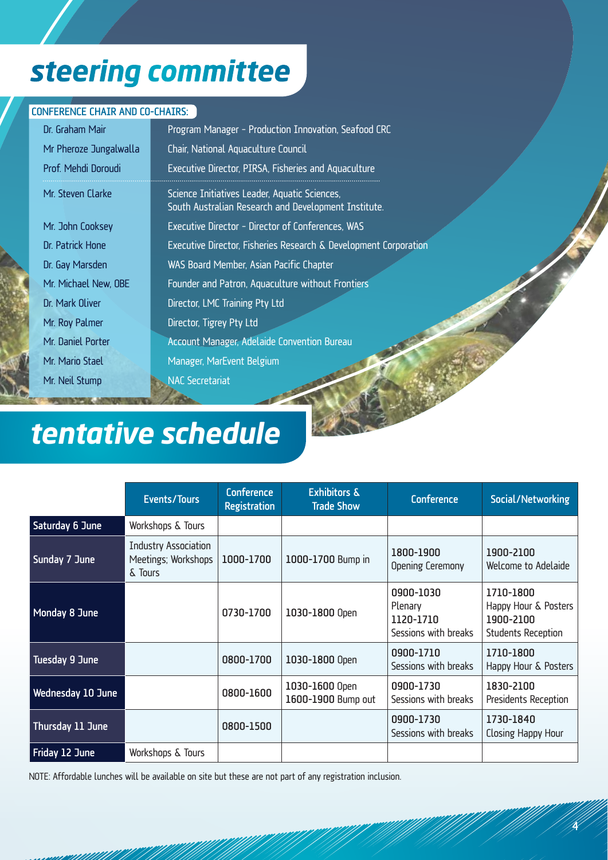# *steering committee*

#### CONFERENCE CHAIR AND CO-CHAIRS:

| Dr. Graham Mair        | Program Manager - Production Innovation, Seafood CRC                                                  |  |  |  |  |
|------------------------|-------------------------------------------------------------------------------------------------------|--|--|--|--|
| Mr Pheroze Jungalwalla | Chair, National Aquaculture Council                                                                   |  |  |  |  |
| Prof. Mehdi Doroudi    | Executive Director, PIRSA, Fisheries and Aquaculture                                                  |  |  |  |  |
| Mr. Steven Clarke      | Science Initiatives Leader, Aquatic Sciences,<br>South Australian Research and Development Institute. |  |  |  |  |
| Mr. John Cooksey       | <b>Executive Director - Director of Conferences, WAS</b>                                              |  |  |  |  |
| Dr. Patrick Hone       | Executive Director, Fisheries Research & Development Corporation                                      |  |  |  |  |
| Dr. Gay Marsden        | WAS Board Member, Asian Pacific Chapter                                                               |  |  |  |  |
| Mr. Michael New, OBE   | Founder and Patron, Aquaculture without Frontiers                                                     |  |  |  |  |
| Dr. Mark Oliver        | Director, LMC Training Pty Ltd                                                                        |  |  |  |  |
| Mr. Roy Palmer         | Director, Tigrey Pty Ltd                                                                              |  |  |  |  |
| Mr. Daniel Porter      | <b>Account Manager, Adelaide Convention Bureau</b>                                                    |  |  |  |  |
| Mr. Mario Stael        | Manager, MarEvent Belgium                                                                             |  |  |  |  |
| Mr. Neil Stump         | <b>NAC Secretariat</b>                                                                                |  |  |  |  |

# *tentative schedule*

|                   | Events/Tours                                                  | <b>Conference</b><br><b>Registration</b> | <b>Exhibitors &amp;</b><br><b>Trade Show</b> | <b>Conference</b>                                         | Social/Networking                                                           |
|-------------------|---------------------------------------------------------------|------------------------------------------|----------------------------------------------|-----------------------------------------------------------|-----------------------------------------------------------------------------|
| Saturday 6 June   | Workshops & Tours                                             |                                          |                                              |                                                           |                                                                             |
| Sunday 7 June     | <b>Industry Association</b><br>Meetings; Workshops<br>δ Tours | 1000-1700                                | 1000-1700 Bump in                            | 1800-1900<br>Opening Ceremony                             | 1900-2100<br>Welcome to Adelaide                                            |
| Monday 8 June     |                                                               | 0730-1700                                | 1030-1800 Open                               | 0900-1030<br>Plenary<br>1120-1710<br>Sessions with breaks | 1710-1800<br>Happy Hour & Posters<br>1900-2100<br><b>Students Reception</b> |
| Tuesday 9 June    |                                                               | 0800-1700                                | 1030-1800 Open                               | 0900-1710<br>Sessions with breaks                         | 1710-1800<br>Happy Hour & Posters                                           |
| Wednesday 10 June |                                                               | 0800-1600                                | 1030-1600 Open<br>1600-1900 Bump out         | 0900-1730<br>Sessions with breaks                         | 1830-2100<br>Presidents Reception                                           |
| Thursday 11 June  |                                                               | 0800-1500                                |                                              | 0900-1730<br>Sessions with breaks                         | 1730-1840<br>Closing Happy Hour                                             |
| Friday 12 June    | Workshops & Tours                                             |                                          |                                              |                                                           |                                                                             |

NOTE: Affordable lunches will be available on site but these are not part of any registration inclusion.

4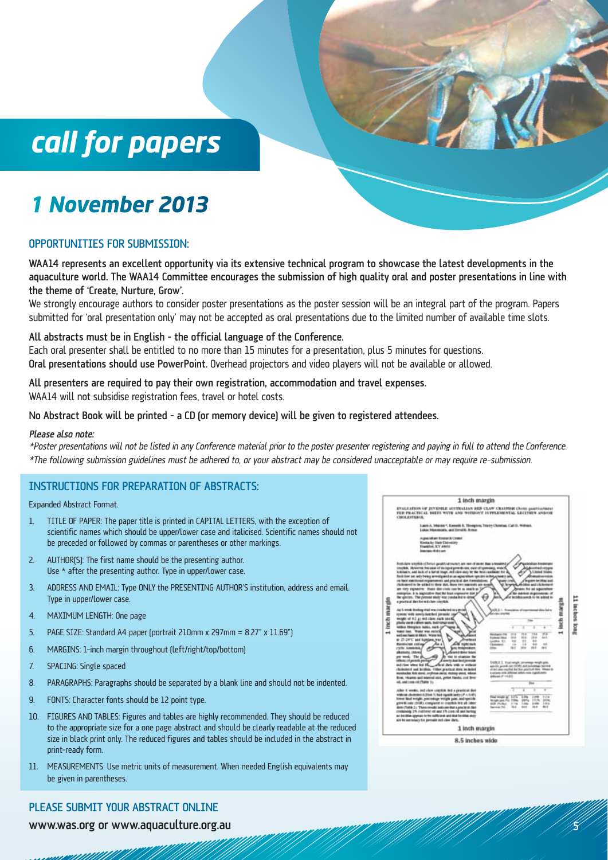## *call for papers*

### *1 November 2013*

#### Opportunities for Submission:

WAA14 represents an excellent opportunity via its extensive technical program to showcase the latest developments in the aquaculture world. The WAA14 Committee encourages the submission of high quality oral and poster presentations in line with the theme of 'Create, Nurture, Grow'.

We strongly encourage authors to consider poster presentations as the poster session will be an integral part of the program. Papers submitted for 'oral presentation only' may not be accepted as oral presentations due to the limited number of available time slots.

All abstracts must be in English – the official language of the Conference. Each oral presenter shall be entitled to no more than 15 minutes for a presentation, plus 5 minutes for questions. Oral presentations should use PowerPoint. Overhead projectors and video players will not be available or allowed.

All presenters are required to pay their own registration, accommodation and travel expenses. WAA14 will not subsidise registration fees, travel or hotel costs.

#### No Abstract Book will be printed – a CD (or memory device) will be given to registered attendees.

#### Please also note:

\*Poster presentations will not be listed in any Conference material prior to the poster presenter registering and paying in full to attend the Conference. \*The following submission guidelines must be adhered to, or your abstract may be considered unacceptable or may require re-submission.

#### INSTRUCTIONS FOR PREPARATION OF ABSTRACTS:

Expanded Abstract Format.

- 1. TITLE OF PAPER: The paper title is printed in CAPITAL LETTERS, with the exception of scientific names which should be upper/lower case and italicised. Scientific names should not be preceded or followed by commas or parentheses or other markings.
- 2. AUTHOR(S): The first name should be the presenting author. Use \* after the presenting author. Type in upper/lower case.
- 3. ADDRESS AND EMAIL: Type ONLY the PRESENTING AUTHOR'S institution, address and email. Type in upper/lower case.
- 4. MAXIMUM LENGTH: One page
- 5. PAGE SIZE: Standard A4 paper (portrait 210mm x 297mm = 8.27" x 11.69")
- 6. MARGINS: 1-inch margin throughout (left/right/top/bottom)
- 7. SPACING: Single spaced
- 8. PARAGRAPHS: Paragraphs should be separated by a blank line and should not be indented.
- 9. FONTS: Character fonts should be 12 point type.
- 10. FIGURES AND TABLES: Figures and tables are highly recommended. They should be reduced to the appropriate size for a one page abstract and should be clearly readable at the reduced size in black print only. The reduced figures and tables should be included in the abstract in print-ready form.
- 11. MEASUREMENTS: Use metric units of measurement. When needed English equivalents may be given in parentheses.

#### PLEASE SUBMIT YOUR ABSTRACT ONLINE

www.was.org or www.aquaculture.org.au



 $\mathcal{E}$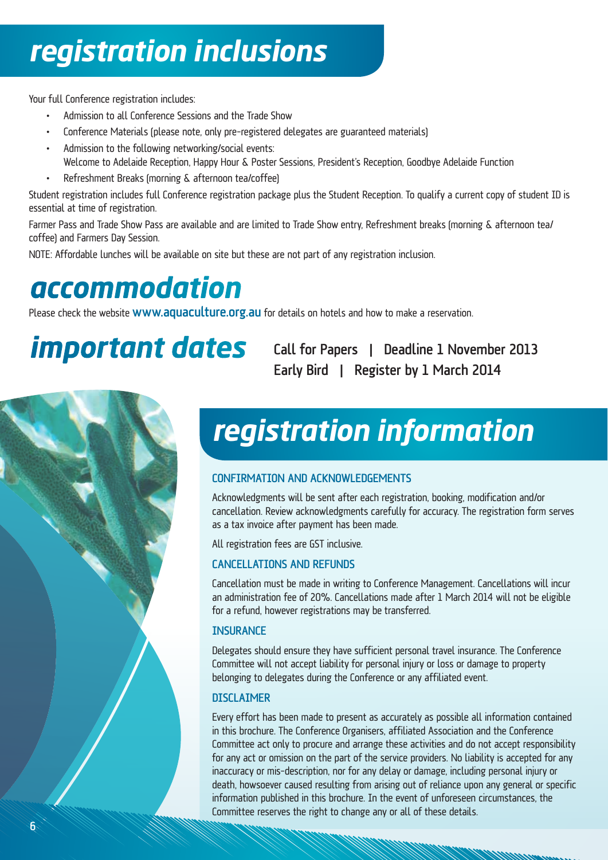# *registration inclusions*

Your full Conference registration includes:

- Admission to all Conference Sessions and the Trade Show
- • Conference Materials (please note, only pre-registered delegates are guaranteed materials)
- • Admission to the following networking/social events: Welcome to Adelaide Reception, Happy Hour & Poster Sessions, President's Reception, Goodbye Adelaide Function
- • Refreshment Breaks (morning & afternoon tea/coffee)

Student registration includes full Conference registration package plus the Student Reception. To qualify a current copy of student ID is essential at time of registration.

Farmer Pass and Trade Show Pass are available and are limited to Trade Show entry, Refreshment breaks (morning & afternoon tea/ coffee) and Farmers Day Session.

NOTE: Affordable lunches will be available on site but these are not part of any registration inclusion.

## *accommodation*

Please check the website **WWW.aquaculture.org.au** for details on hotels and how to make a reservation.

*important dates* Call for Papers | Deadline 1 November 2013 Early Bird | Register by 1 March 2014



#### CONFIRMATION AND ACKNOWLEDGEMENTS

Acknowledgments will be sent after each registration, booking, modification and/or cancellation. Review acknowledgments carefully for accuracy. The registration form serves as a tax invoice after payment has been made.

All registration fees are GST inclusive.

### Cancellations and Refunds

Cancellation must be made in writing to Conference Management. Cancellations will incur an administration fee of 20%. Cancellations made after 1 March 2014 will not be eligible for a refund, however registrations may be transferred.

#### **INSURANCE**

Delegates should ensure they have sufficient personal travel insurance. The Conference Committee will not accept liability for personal injury or loss or damage to property belonging to delegates during the Conference or any affiliated event.

### **DISCLAIMER**

Every effort has been made to present as accurately as possible all information contained in this brochure. The Conference Organisers, affiliated Association and the Conference Committee act only to procure and arrange these activities and do not accept responsibility for any act or omission on the part of the service providers. No liability is accepted for any inaccuracy or mis-description, nor for any delay or damage, including personal injury or death, howsoever caused resulting from arising out of reliance upon any general or specific information published in this brochure. In the event of unforeseen circumstances, the Committee reserves the right to change any or all of these details.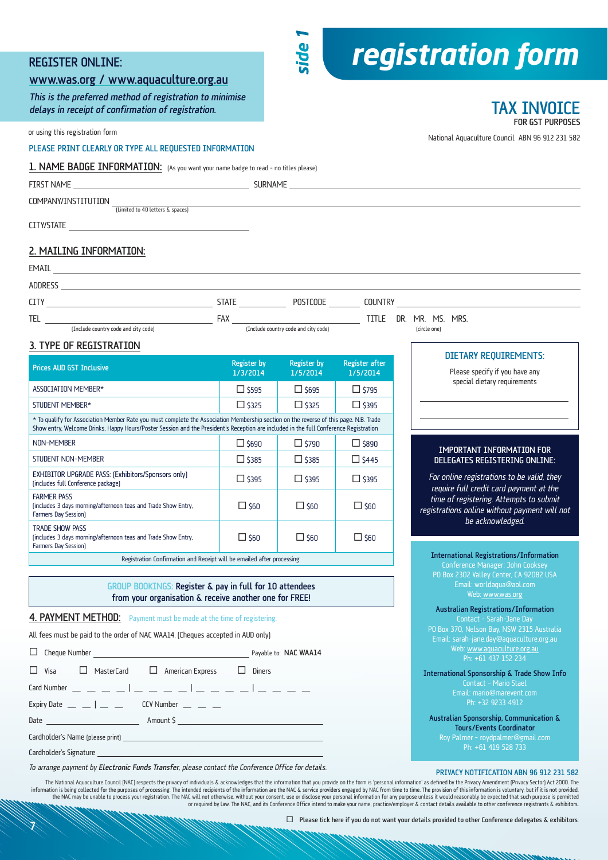#### Register Online:

#### www.was.org / www.aquaculture.org.au

This is the preferred method of registration to minimise delays in receipt of confirmation of registration.

or using this registration form

PLEASE PRINT CLEARLY OR TYPE ALL REQUESTED INFORMATION

#### 1. NAME BADGE INFORMATION: (As you want your name badge to read – no titles please)

|                                                                                                                                                                                                                                                                                | SURNAME <b>SURNAME</b>         |                                |                                   |                                                                |  |
|--------------------------------------------------------------------------------------------------------------------------------------------------------------------------------------------------------------------------------------------------------------------------------|--------------------------------|--------------------------------|-----------------------------------|----------------------------------------------------------------|--|
| COMPANY/INSTITUTION<br>(Limited to 40 letters & spaces)                                                                                                                                                                                                                        |                                |                                |                                   |                                                                |  |
|                                                                                                                                                                                                                                                                                |                                |                                |                                   |                                                                |  |
| 2. MAILING INFORMATION:                                                                                                                                                                                                                                                        |                                |                                |                                   |                                                                |  |
|                                                                                                                                                                                                                                                                                |                                |                                |                                   |                                                                |  |
|                                                                                                                                                                                                                                                                                |                                |                                |                                   |                                                                |  |
|                                                                                                                                                                                                                                                                                |                                |                                |                                   |                                                                |  |
|                                                                                                                                                                                                                                                                                |                                |                                |                                   |                                                                |  |
| 3. TYPE OF REGISTRATION                                                                                                                                                                                                                                                        |                                |                                |                                   |                                                                |  |
| <b>Prices AUD GST Inclusive</b>                                                                                                                                                                                                                                                | <b>Register by</b><br>1/3/2014 | <b>Register by</b><br>1/5/2014 | <b>Register after</b><br>1/5/2014 | <b>DIETARY REQUIREMENTS:</b><br>Please specify if you have any |  |
| ASSOCIATION MEMBER*                                                                                                                                                                                                                                                            | $\Box$ \$595                   | $\Box$ \$695                   | $\Box$ \$795                      | special dietary requirements                                   |  |
| STUDENT MEMBER*                                                                                                                                                                                                                                                                | $\Box$ \$325                   | $\Box$ \$325                   | $\Box$ \$395                      |                                                                |  |
| * To qualify for Association Member Rate you must complete the Association Membership section on the reverse of this page. N.B. Trade<br>Show entry, Welcome Drinks, Happy Hours/Poster Session and the President's Reception are included in the full Conference Registration |                                |                                |                                   |                                                                |  |
| NON-MEMBER                                                                                                                                                                                                                                                                     | $\Box$ \$690                   | $\Box$ \$790                   | $\Box$ \$890                      | IMPORTANT INFORMATION FOR<br>DELEGATES REGISTERING ONLINE:     |  |
| STUDENT NON-MEMBER                                                                                                                                                                                                                                                             | $\Box$ \$385                   | $\Box$ \$385                   | $\Box$ \$445                      |                                                                |  |
| EXHIBITOR UPGRADE PASS: (Exhibitors/Sponsors only)                                                                                                                                                                                                                             | $\Box$ \$395                   | $\Box$ \$395                   | $\Box$ \$395                      | For online registrations to be valid, they                     |  |

(includes full Conference package) \$395 \$395 \$395 (includes 3 days morning/afternoon teas and Trade Show Entry,  $\Box$  \$60  $\Box$  \$60  $\Box$  \$60 (includes 3 days morning/afternoon teas and Trade Show Entry,  $\Box$  \$60  $\Box$  \$60  $\Box$  \$60 require full credit card payment at the time of registering. Attempts to submit registrations online without payment will not

Registration Confirmation and Receipt will be emailed after processing.

GROUP BOOKINGS: Register & pay in full for 10 attendees from your organisation & receive another one for FREE!

#### 4. PAYMENT METHOD: Payment must be made at the time of registering

All fees must be paid to the order of NAC WAA14. (Cheques accepted in AUD only)

Cheque Number **Payable to:** NAC WAA14  $\square$  Visa  $\square$  MasterCard  $\square$  American Express  $\square$  Diners Card Number \_ \_ \_ \_ <sup>|</sup> \_ \_ \_ \_ <sup>|</sup> \_ \_ \_ \_ <sup>|</sup> \_ \_ \_ \_ Expiry Date  $\Box$   $\Box$   $\Box$  CCV Number  $\Box$   $\Box$ Date Amount \$ Cardholder's Name (please print) Cardholder's Signature

To arrange payment by Electronic Funds Transfer, please contact the Conference Office for details.<br>PRIVACY NOTIFICATION ABN 96 912 231 582

The National Aquaculture Council (NAC) respects the privacy of individuals & acknowledges that the information that you provide on the form is 'personal information' as defined by the Privacy Amendment (Privacy Sector) Act information is being collected for the purposes of processing. The intended recipients of the information are the NAC & service providers engaged by NAC from time to time. The provision of this information is voluntary, bu the NAC may be unable to process your registration. The NAC will not otherwise, without your consent, use or disclose your personal information for any purpose unless it would reasonably be expected that such purpose is pe or required by law. The NAC, and its Conference Office intend to make your name, practice/employer & contact details available to other conference registrants & exhibitors.

 *registration form*

National Aquaculture Council ABN 96 912 231 582

TAX INVOICE

International Registrations/Information Conference Manager: John Cooksey PO Box 2302 Valley Center, CA 92082 USA Email: worldaqua@aol.com Web: www.was.org Australian Registrations/Information Contact – Sarah-Jane Day PO Box 370, Nelson Bay, NSW 2315 Australia Web: www.aquaculture.org.au Ph: +61 437 152 234 International Sponsorship & Trade Show Info Contact – Mario Stael Email: mario@marevent.com Ph: +32 9233 4912 Australian Sponsorship, Communication & Tours/Events Coordinator Ph: +61 419 528 733 be acknowledged.

 $\Box$  Please tick here if you do not want your details provided to other Conference delegates & exhibitors.

*side 1*

 $\cancel{\mathbf{X}}$ 

FARMER PASS

Farmers Day Session)

TRADE SHOW PASS

Farmers Day Session)